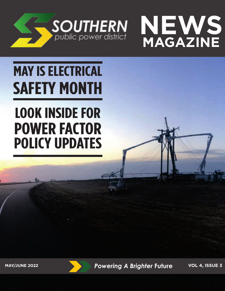



# **MAY IS ELECTRICAL SAFETY MONTH**

# **LOOK INSIDE FOR POWER FACTOR POLICY UPDATES**

**MAY/JUNE 2022** *Powering A Brighter* **Future VOL 4, ISSUE 3**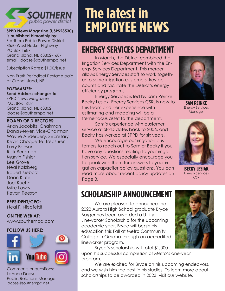

#### **SPPD News Magazine (USPS23530) is published bimonthly by:**

Southern Public Power District 4550 West Husker Highway PO Box 1687 Grand Island, NE 68802-1687 email: ldoose@southernpd.net

Subscription Rates: \$1.00/issue

Non Profit Periodical Postage paid at Grand Island, NE

#### **POSTMASTER: Send Address changes to:**

SPPD News Magazine P.O. Box 1687 Grand Island, NE 68802 ldoose@southernpd.net

#### **BOARD OF DIRECTORS:**

Arlon Jacobitz, Chairman Dana Meyer, Vice-Chairman Wayne Anderbery, Secretary Kevin Choquette, Treasurer Larry Benson Rick Bergman Marvin Fishler Lee Grove Neal Katzberg Robert Kieborz Dean Klute Joel Kuehn Mike Lowry Kevan Reeson

#### **PRESIDENT/CEO:**

Neal F. Niedfeldt

### **ON THE WEB AT:**

www.southernpd.com

#### **FOLLOW US HERE:**



Comments or questions: LeAnne Doose Public Relations Manager ldoose@southernpd.net

# **The latest in EMPLOYEE NEWS**

### **ENERGY SERVICES DEPARTMENT**

In March, the District combined the Irrigation Services Department with the Energy Services Department. This merger allows Energy Services staff to work together to serve irrigation customers, key accounts and facilitate the District's energy efficiency programs.

Energy Services is led by Sam Reinke. Becky Lesiak, Energy Services CSR, is new to this team and her experience with estimating and mapping will be a tremendous asset to the department.

Sam's experience with customer service at SPPD dates back to 2006, and Becky has worked at SPPD for six years.

We encourage our irrigation customers to reach out to Sam or Becky if you have any questions relating to your irrigation service. We especially encourage you to speak with them for answers to your irrigation capacitor policy questions. You can read more about recent policy updates on Page 3.



**SAM REINKE**  Energy Services Manager



**BECKY LESIAK**  Energy Services **CSR** 

### **SCHOLARSHIP ANNOUNCEMENT**

We are pleased to announce that 2022 Aurora High School graduate Bryce Barger has been awarded a Utility Lineworker Scholarship for the upcoming academic year. Bryce will begin his education this Fall at Metro Community College in Omaha through an accredited lineworker program.



Bryce's scholarship will total \$1,000 upon his successful completion of Metro's one-year program.

We are excited for Bryce on his upcoming endeavors, and we wish him the best in his studies! To learn more about scholarships to be awarded in 2023, visit our website.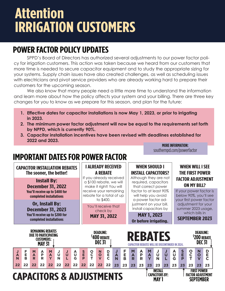# **Attention IRRIGATION CUSTOMERS**

### **POWER FACTOR POLICY UPDATES**

SPPD's Board of Directors has authorized several adjustments to our power factor policy for irrigation customers. This action was taken because we heard from our customers that more time is needed to secure capacitor equipment and to study the appropriate sizing for your systems. Supply chain issues have also created challenges, as well as scheduling issues with electricians and pivot service providers who are already working hard to prepare their customers for the upcoming season.

We also know that many people need a little more time to understand the information and learn more about how the policy affects your system and your billing. There are three key changes for you to know as we prepare for this season, and plan for the future:

- **1. Effective dates for capacitor installations is now May 1, 2023, or prior to irrigating in 2023.**
- **2. The minimum power factor adjustment will now be equal to the requirements set forth by NPPD, which is currently 90%.**
- **3. Capacitor installation incentives have been revised with deadlines established for 2022 and 2023.**

**MORE INFORMATION:** southernpd.com/powerfactor

### **IMPORTANT DATES FOR POWER FACTOR**

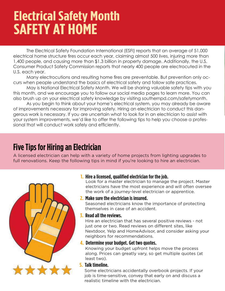## **Electrical Safety Month SAFETY AT HOME**

The Electrical Safety Foundation International (ESFI) reports that an average of 51,000 electrical home structure fires occur each year, claiming almost 500 lives, injuring more than 1,400 people, and causing more than \$1.3 billion in property damage. Additionally, the U.S. Consumer Product Safety Commission reports that nearly 400 people are electrocuted in the U.S. each year.

Many electrocutions and resulting home fires are preventable. But prevention only occurs when people understand the basics of electrical safety and follow safe practices.

May is National Electrical Safety Month. We will be sharing valuable safety tips with you this month, and we encourage you to follow our social media pages to learn more. You can also brush up on your electrical safety knowledge by visiting southernpd.com/safetymonth.

As you begin to think about your home's electrical system, you may already be aware of improvements necessary for improving safety. Hiring an electrician to conduct this dangerous work is necessary. If you are uncertain what to look for in an electrician to assist with your system improvements, we'd like to offer the following tips to help you choose a professional that will conduct work safely and efficiently.

### **Five Tips for Hiring an Electrician**

A licensed electrician can help with a variety of home projects from lighting upgrades to full renovations. Keep the following tips in mind if you're looking to hire an electrician.



### **1. Hire a licensed, qualified electrician for the job.**

Look for a master electrician to manage the project. Master electricians have the most experience and will often oversee the work of a journey-level electrician or apprentice.

### **2. Make sure the electrician is insured.**

Seasoned electricians know the importance of protecting themselves in case of an accident.

### **3. Read all the reviews.**

Hire an electrician that has several positive reviews - not just one or two. Read reviews on different sites, like Nextdoor, Yelp and HomeAdvisor, and consider asking your neighbors for recommendations.

### **4. Determine your budget. Get two quotes.**

Knowing your budget upfront helps move the process along. Prices can greatly vary, so get multiple quotes (at least two).

### **5. Talk timeline.**

Some electricians accidentally overbook projects. If your job is time-sensitive, convey that early on and discuss a realistic timeline with the electrician.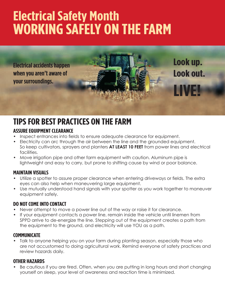# **Electrical Safety Month WORKING SAFELY ON THE FARM**

**Electrical accidents happen when you aren't aware of your surroundings.**

### **TIPS FOR BEST PRACTICES ON THE FARM**

### **ASSURE EQUIPMENT CLEARANCE**

- Inspect entrances into fields to ensure adequate clearance for equipment.
- Electricity can arc through the air between the line and the grounded equipment. So keep cultivators, sprayers and planters **AT LEAST 10 FEET** from power lines and electrical facilities.

**Look up.**

**Look out.**

**LIVE!**

• Move irrigation pipe and other farm equipment with caution. Aluminum pipe is lightweight and easy to carry, but prone to shifting cause by wind or poor balance.

### **MAINTAIN VISUALS**

- Utilize a spotter to assure proper clearance when entering driveways or fields. The extra eyes can also help when maneuvering large equipment.
- Use mutually understood hand signals with your spotter as you work together to maneuver equipment safely.

### **DO NOT COME INTO CONTACT**

- Never attempt to move a power line out of the way or raise it for clearance.
- If your equipment contacts a power line, remain inside the vehicle until linemen from SPPD arrive to de-energize the line. Stepping out of the equipment creates a path from the equipment to the ground, and electricity will use YOU as a path.

### **COMMUNICATE**

• Talk to anyone helping you on your farm during planting season, especially those who are not accustomed to doing agricultural work. Remind everyone of safety practices and review hazards daily.

### **OTHER HAZARDS**

Be cautious if you are tired. Often, when you are putting in long hours and short changing yourself on sleep, your level of awareness and reaction time is minimized.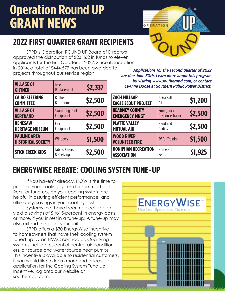## **Operation Round UP GRANT NEWS**



### **2022 FIRST QUARTER GRANT RECIPIENTS**

SPPD's Operation ROUND UP Board of Directors approved the distribution of \$23,462 in funds to eleven applicants for the First Quarter of 2022. Since its inception in 2014, a total of \$444,577 has been awarded to projects throughout our service region.

| <b>VILLAGE OF</b><br><b>GILTNER</b>              | <b>Tree</b><br>Replacement           | \$2,337 |
|--------------------------------------------------|--------------------------------------|---------|
| <b>CAIRO STEERING</b><br><b>COMMITTEE</b>        | <b>Ballfield</b><br><b>Bathrooms</b> | \$2,500 |
| <b>VILLAGE OF</b><br><b>BERTRAND</b>             | <b>Swimming Pool</b><br>Equipment    | \$2,500 |
| <b>KENESAW</b><br><b>HERITAGE MUSEUM</b>         | Electrical<br>Equipment              | \$2,500 |
| <b>PAULINE AREA</b><br><b>HISTORICAL SOCIETY</b> | <b>Windows</b>                       | \$1,500 |
| <b>STICK CREEK KIDS</b>                          | Tables, Chairs<br>& Shelving         | \$2,500 |

*Applications for the second quarter of 2022 are due June 30th. Learn more about this program by visiting www.southernpd.com, or contact LeAnne Doose at Southern Public Power District.*

| <b>ZACH MILLSAP</b><br><b>EAGLE SCOUT PROJECT</b> | GaGa Ball<br>Pit                     | \$1,200 |
|---------------------------------------------------|--------------------------------------|---------|
| <b>KEARNEY COUNTY</b><br><b>EMERGENCY MNGT</b>    | Emergency<br><b>Response Trailer</b> | \$2,500 |
| <b>PLATTE VALLEY</b><br><b>MUTUAL AID</b>         | Handheld<br>Radios                   | \$2,500 |
| <b>WOOD RIVER</b><br><b>VOLUNTEER FIRE</b>        | <b>TV for Training</b>               | \$1,500 |
| <b>DONIPHAN RECREATION</b><br><b>ASSOCIATION</b>  | Home Run<br>Fence                    | \$1,925 |

### **ENERGYWISE REBATE: COOLING SYSTEM TUNE-UP**

If you haven't already, NOW is the time to prepare your cooling system for summer heat. Regular tune-ups on your cooling system are helpful in assuring efficient performance, and ultimately, savings in your cooling costs.

Systems that have been neglected can yield a savings of 5 to15-percent in energy costs, or more, if you invest in a tune-up! A tune-up may also extend the life of your unit.

SPPD offers a \$30 EnergyWise incentive to homeowners that have their cooling system tuned-up by an HVAC contractor. Qualifying systems include residential central-air conditioners, air source and water source heat pumps. This incentive is available to residential customers. If you would like to learn more and access an application for the Cooling System Tune Up Incentive, log onto our website at southernpd.com.

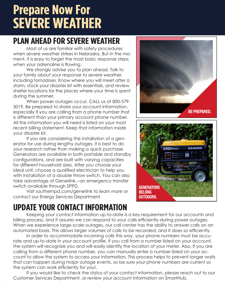## **Prepare Now For SEVERE WEATHER**

### **PLAN AHEAD FOR SEVERE WEATHER**

Most of us are familiar with safety procedures when severe weather strikes in Nebraska. But in the moment, it is easy to forget the most basic response steps when your adrenaline is flowing.

We strongly advise you to plan ahead. Talk to your family about your response to severe weather, including tornadoes. Know where you will meet after a storm, stock your disaster kit with essentials, and review shelter locations for the places where your time is spent during the summer.

When power outages occur, CALL us at 800-579- 3019. Be prepared to share your account information, especially if you are calling from a phone number that is different than your primary account phone number. All the information you will need is listed on your most recent billing statement. Keep that information inside your disaster kit.

If you are considering the installation of a generator for use during lengthy outages, it is best to do your research rather than making a quick purchase. Generators are available in both portable and standby configurations, and are built with varying capacities for different household sizes. After you choose your ideal unit, choose a qualified electrician to help you with installation of a double throw switch. You can also take advantage of Generlink,--an emergency transfer switch available through SPPD.

Visit southernpd.com/generlink to learn more or contact our Energy Services Department.

### **UPDATE YOUR CONTACT INFORMATION**

Keeping your contact information up-to-date is a key requirement for our accounts and billing process, and it assures we can respond to your calls efficiently during power outages. When we experience large-scale outages, our call center has the ability to answer calls on an automated basis. This allows larger volumes of calls to be recorded, and it does so efficiently.

In order to accommodate incoming calls this way, your phone numbers must be accurate and up-to-date in your account profile. If you call from a number listed on your account, the system will recognize you and will easily identify the location of your meter. Also, if you are calling from a different phone number, you can manually enter a number listed on your account to allow the system to access your information. This process helps to prevent longer waits that can happen during major outage events, so be sure your phone numbers are current so the system can work efficiently for you!.

If you would like to check the status of your contact information, please reach out to our Customer Services Department, or review your account information on SmartHub.